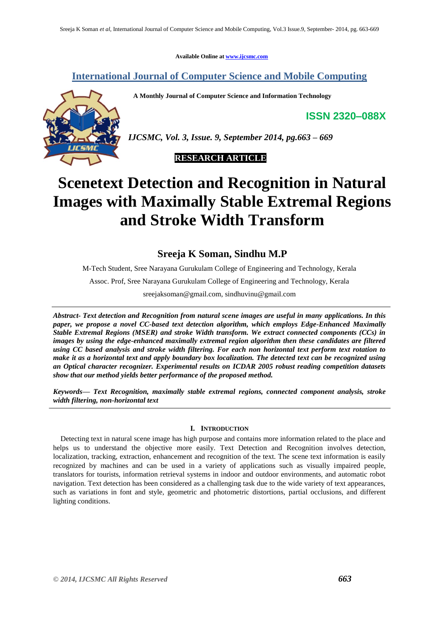**Available Online at [www.ijcsmc.com](http://www.ijcsmc.com/)**

# **International Journal of Computer Science and Mobile Computing**

 **A Monthly Journal of Computer Science and Information Technology**

**ISSN 2320–088X**



*IJCSMC, Vol. 3, Issue. 9, September 2014, pg.663 – 669*



# **Scenetext Detection and Recognition in Natural Images with Maximally Stable Extremal Regions and Stroke Width Transform**

**Sreeja K Soman, Sindhu M.P**

M-Tech Student, Sree Narayana Gurukulam College of Engineering and Technology, Kerala

Assoc. Prof, Sree Narayana Gurukulam College of Engineering and Technology, Kerala

sreejaksoman@gmail.com, sindhuvinu@gmail.com

*Abstract- Text detection and Recognition from natural scene images are useful in many applications. In this paper, we propose a novel CC-based text detection algorithm, which employs Edge-Enhanced Maximally Stable Extremal Regions (MSER) and stroke Width transform. We extract connected components (CCs) in images by using the edge-enhanced maximally extremal region algorithm then these candidates are filtered using CC based analysis and stroke width filtering. For each non horizontal text perform text rotation to make it as a horizontal text and apply boundary box localization. The detected text can be recognized using an Optical character recognizer. Experimental results on ICDAR 2005 robust reading competition datasets show that our method yields better performance of the proposed method.*

*Keywords— Text Recognition, maximally stable extremal regions, connected component analysis, stroke width filtering, non-horizontal text*

## **I. INTRODUCTION**

Detecting text in natural scene image has high purpose and contains more information related to the place and helps us to understand the objective more easily. Text Detection and Recognition involves detection, localization, tracking, extraction, enhancement and recognition of the text. The scene text information is easily recognized by machines and can be used in a variety of applications such as visually impaired people, translators for tourists, information retrieval systems in indoor and outdoor environments, and automatic robot navigation. Text detection has been considered as a challenging task due to the wide variety of text appearances, such as variations in font and style, geometric and photometric distortions, partial occlusions, and different lighting conditions.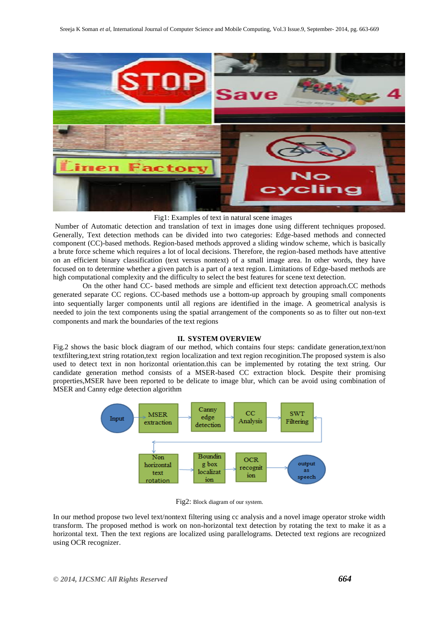

#### Fig1: Examples of text in natural scene images

Number of Automatic detection and translation of text in images done using different techniques proposed. Generally, Text detection methods can be divided into two categories: Edge-based methods and connected component (CC)-based methods. Region-based methods approved a sliding window scheme, which is basically a brute force scheme which requires a lot of local decisions. Therefore, the region-based methods have attentive on an efficient binary classification (text versus nontext) of a small image area. In other words, they have focused on to determine whether a given patch is a part of a text region. Limitations of Edge-based methods are high computational complexity and the difficulty to select the best features for scene text detection.

 On the other hand CC- based methods are simple and efficient text detection approach.CC methods generated separate CC regions. CC-based methods use a bottom-up approach by grouping small components into sequentially larger components until all regions are identified in the image. A geometrical analysis is needed to join the text components using the spatial arrangement of the components so as to filter out non-text components and mark the boundaries of the text regions

#### **II. SYSTEM OVERVIEW**

Fig.2 shows the basic block diagram of our method, which contains four steps: candidate generation,text/non textfiltering,text string rotation,text region localization and text region recoginition.The proposed system is also used to detect text in non horizontal orientation.this can be implemented by rotating the text string. Our candidate generation method consists of a MSER-based CC extraction block. Despite their promising properties,MSER have been reported to be delicate to image blur, which can be avoid using combination of MSER and Canny edge detection algorithm



Fig2: Block diagram of our system.

In our method propose two level text/nontext filtering using cc analysis and a novel image operator stroke width transform. The proposed method is work on non-horizontal text detection by rotating the text to make it as a horizontal text. Then the text regions are localized using parallelograms. Detected text regions are recognized using OCR recognizer.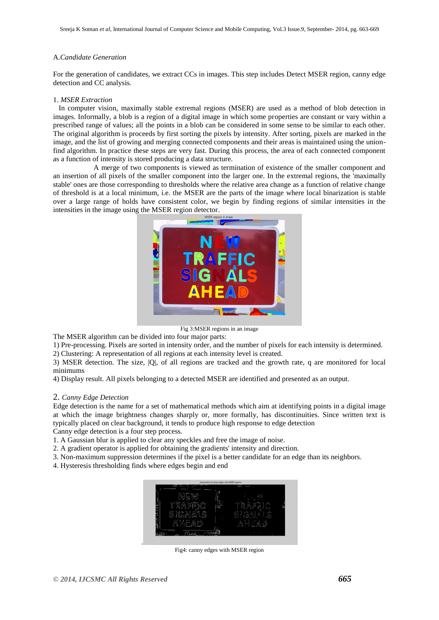#### A.*Candidate Generation*

For the generation of candidates, we extract CCs in images. This step includes Detect MSER region, canny edge detection and CC analysis.

#### 1. *MSER Extraction*

 In computer vision, maximally stable extremal regions (MSER) are used as a method of blob detection in images. Informally, a blob is a region of a digital image in which some properties are constant or vary within a prescribed range of values; all the points in a blob can be considered in some sense to be similar to each other. The original algorithm is proceeds by first sorting the pixels by intensity. After sorting, pixels are marked in the image, and the list of growing and merging connected components and their areas is maintained using the unionfind algorithm. In practice these steps are very fast. During this process, the area of each connected component as a function of intensity is stored producing a data structure.

 A merge of two components is viewed as termination of existence of the smaller component and an insertion of all pixels of the smaller component into the larger one. In the extremal regions, the 'maximally stable' ones are those corresponding to thresholds where the relative area change as a function of relative change of threshold is at a local minimum, i.e. the MSER are the parts of the image where local binarization is stable over a large range of holds have consistent color, we begin by finding regions of similar intensities in the intensities in the image using the MSER region detector.



Fig 3:MSER regions in an image

The MSER algorithm can be divided into four major parts:

1) Pre-processing. Pixels are sorted in intensity order, and the number of pixels for each intensity is determined.

2) Clustering: A representation of all regions at each intensity level is created.

3) MSER detection. The size, |Q|, of all regions are tracked and the growth rate, q are monitored for local minimums

4) Display result. All pixels belonging to a detected MSER are identified and presented as an output.

#### 2. *Canny Edge Detection*

Edge detection is the name for a set of mathematical methods which aim at identifying points in a digital image at which the image brightness changes sharply or, more formally, has discontinuities. Since written text is typically placed on clear background, it tends to produce high response to edge detection

Canny edge detection is a four step process.

1. A Gaussian blur is applied to clear any speckles and free the image of noise.

2. A gradient operator is applied for obtaining the gradients' intensity and direction.

3. Non-maximum suppression determines if the pixel is a better candidate for an edge than its neighbors.

4. Hysteresis thresholding finds where edges begin and end



Fig4: canny edges with MSER region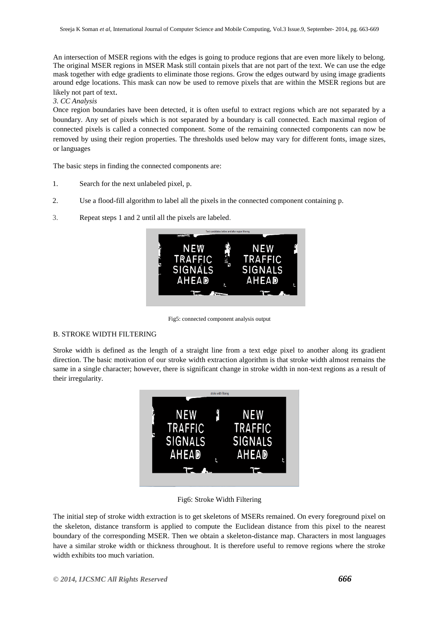An intersection of MSER regions with the edges is going to produce regions that are even more likely to belong. The original MSER regions in MSER Mask still contain pixels that are not part of the text. We can use the edge mask together with edge gradients to eliminate those regions. Grow the edges outward by using image gradients around edge locations. This mask can now be used to remove pixels that are within the MSER regions but are likely not part of text.

#### *3. CC Analysis*

Once region boundaries have been detected, it is often useful to extract regions which are not separated by a boundary. Any set of pixels which is not separated by a boundary is call connected. Each maximal region of connected pixels is called a connected component. Some of the remaining connected components can now be removed by using their region properties. The thresholds used below may vary for different fonts, image sizes, or languages

The basic steps in finding the connected components are:

- 1. Search for the next unlabeled pixel, p.
- 2. Use a flood-fill algorithm to label all the pixels in the connected component containing p.
- 3. Repeat steps 1 and 2 until all the pixels are labeled.



Fig5: connected component analysis output

#### B. STROKE WIDTH FILTERING

Stroke width is defined as the length of a straight line from a text edge pixel to another along its gradient direction. The basic motivation of our stroke width extraction algorithm is that stroke width almost remains the same in a single character; however, there is significant change in stroke width in non-text regions as a result of their irregularity.



Fig6: Stroke Width Filtering

The initial step of stroke width extraction is to get skeletons of MSERs remained. On every foreground pixel on the skeleton, distance transform is applied to compute the Euclidean distance from this pixel to the nearest boundary of the corresponding MSER. Then we obtain a skeleton-distance map. Characters in most languages have a similar stroke width or thickness throughout. It is therefore useful to remove regions where the stroke width exhibits too much variation.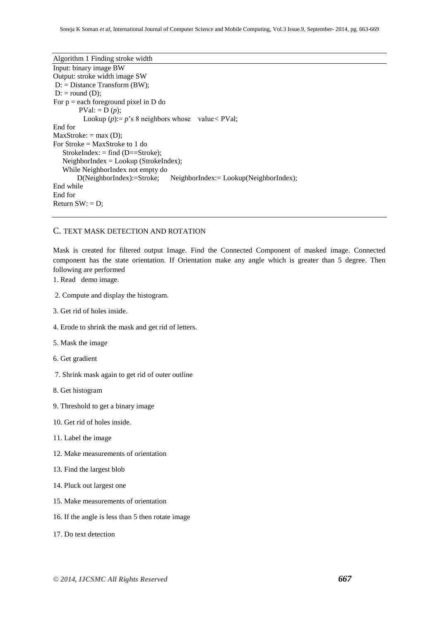Algorithm 1 Finding stroke width Input: binary image BW Output: stroke width image SW D: = Distance Transform (BW);  $D:$  = round  $(D)$ ; For  $p =$  each foreground pixel in D do  $PVal: = D(p);$ Lookup  $(p) := p$ 's 8 neighbors whose value < PVal; End for  $MaxStroke: = max (D);$ For Stroke = MaxStroke to 1 do StrokeIndex:  $=$  find (D==Stroke);  $NeighbourIndex = Lookup (StrokeIndex);$  While NeighborIndex not empty do D(NeighborIndex):=Stroke; NeighborIndex:= Lookup(NeighborIndex); End while End for Return  $SW: = D$ ;

# C. TEXT MASK DETECTION AND ROTATION

Mask is created for filtered output Image. Find the Connected Component of masked image. Connected component has the state orientation. If Orientation make any angle which is greater than 5 degree. Then following are performed

- 1. Read demo image.
- 2. Compute and display the histogram.
- 3. Get rid of holes inside.
- 4. Erode to shrink the mask and get rid of letters.
- 5. Mask the image
- 6. Get gradient
- 7. Shrink mask again to get rid of outer outline
- 8. Get histogram
- 9. Threshold to get a binary image
- 10. Get rid of holes inside.
- 11. Label the image
- 12. Make measurements of orientation
- 13. Find the largest blob
- 14. Pluck out largest one
- 15. Make measurements of orientation
- 16. If the angle is less than 5 then rotate image
- 17. Do text detection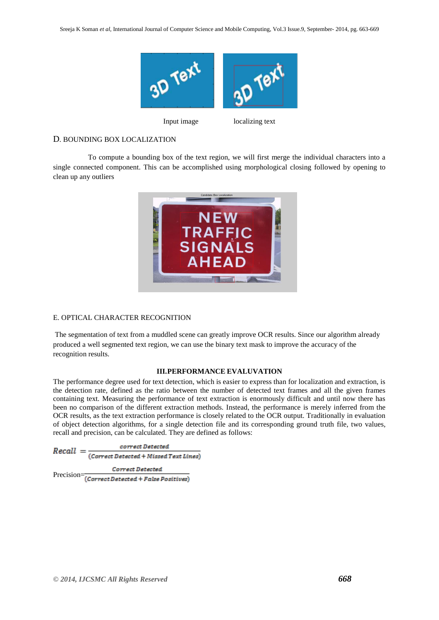

Input image localizing text

# D. BOUNDING BOX LOCALIZATION

 To compute a bounding box of the text region, we will first merge the individual characters into a single connected component. This can be accomplished using morphological closing followed by opening to clean up any outliers



## E. OPTICAL CHARACTER RECOGNITION

The segmentation of text from a muddled scene can greatly improve OCR results. Since our algorithm already produced a well segmented text region, we can use the binary text mask to improve the accuracy of the recognition results.

# **III.PERFORMANCE EVALUVATION**

The performance degree used for text detection, which is easier to express than for localization and extraction, is the detection rate, defined as the ratio between the number of detected text frames and all the given frames containing text. Measuring the performance of text extraction is enormously difficult and until now there has been no comparison of the different extraction methods. Instead, the performance is merely inferred from the OCR results, as the text extraction performance is closely related to the OCR output. Traditionally in evaluation of object detection algorithms, for a single detection file and its corresponding ground truth file, two values, recall and precision, can be calculated. They are defined as follows:

 $\emph{correct Detection}$  $Recall = \frac{correct \, \textit{Interest} }{(\textit{Correct \, detected + \, Missed \, Text \, Lines})}$ Correct Detected

Precision=Correct Detected + False Positives)